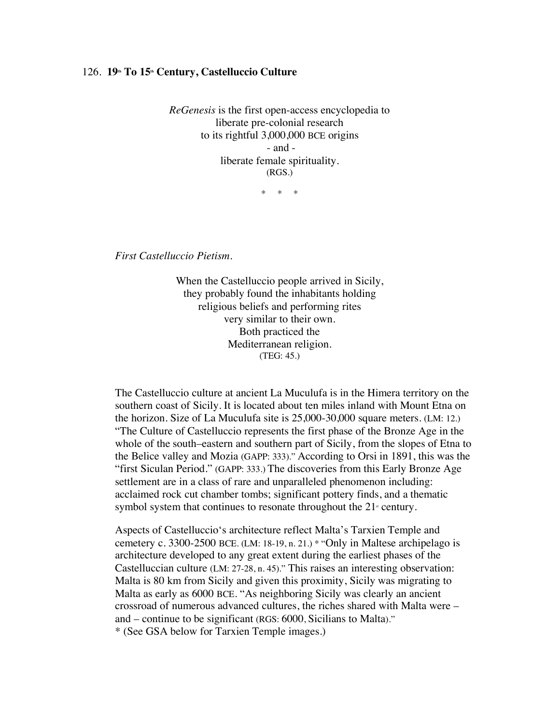## 126. 19<sup>th</sup> To 15<sup>th</sup> Century, Castelluccio Culture

*ReGenesis* is the first open-access encyclopedia to liberate pre-colonial research to its rightful 3,000,000 BCE origins - and liberate female spirituality. (RGS.)

\* \* \*

*First Castelluccio Pietism.*

When the Castelluccio people arrived in Sicily, they probably found the inhabitants holding religious beliefs and performing rites very similar to their own. Both practiced the Mediterranean religion. (TEG: 45.)

The Castelluccio culture at ancient La Muculufa is in the Himera territory on the southern coast of Sicily. It is located about ten miles inland with Mount Etna on the horizon. Size of La Muculufa site is 25,000-30,000 square meters. (LM: 12.) "The Culture of Castelluccio represents the first phase of the Bronze Age in the whole of the south–eastern and southern part of Sicily, from the slopes of Etna to the Belice valley and Mozia (GAPP: 333)." According to Orsi in 1891, this was the "first Siculan Period." (GAPP: 333.) The discoveries from this Early Bronze Age settlement are in a class of rare and unparalleled phenomenon including: acclaimed rock cut chamber tombs; significant pottery finds, and a thematic symbol system that continues to resonate throughout the  $21<sup>s</sup>$  century.

Aspects of Castelluccio's architecture reflect Malta's Tarxien Temple and cemetery c. 3300-2500 BCE. (LM: 18-19, n. 21.) \* "Only in Maltese archipelago is architecture developed to any great extent during the earliest phases of the Castelluccian culture (LM: 27-28, n. 45)." This raises an interesting observation: Malta is 80 km from Sicily and given this proximity, Sicily was migrating to Malta as early as 6000 BCE. "As neighboring Sicily was clearly an ancient crossroad of numerous advanced cultures, the riches shared with Malta were – and – continue to be significant (RGS: 6000, Sicilians to Malta)." \* (See GSA below for Tarxien Temple images.)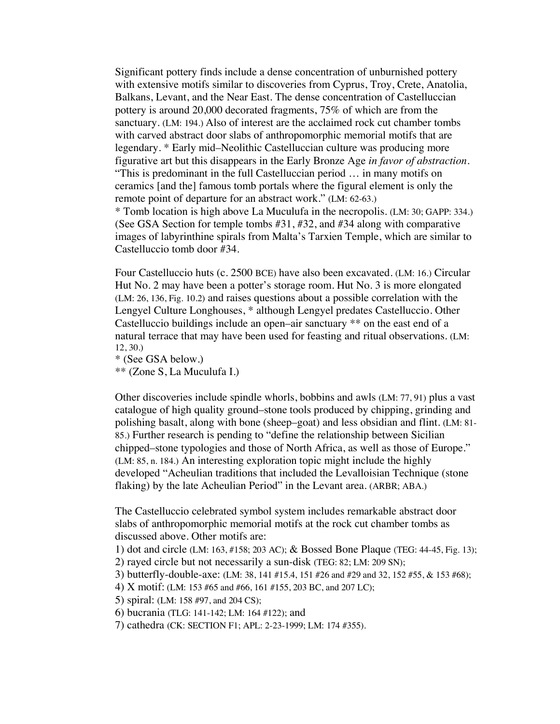Significant pottery finds include a dense concentration of unburnished pottery with extensive motifs similar to discoveries from Cyprus, Troy, Crete, Anatolia, Balkans, Levant, and the Near East. The dense concentration of Castelluccian pottery is around 20,000 decorated fragments, 75% of which are from the sanctuary. (LM: 194.) Also of interest are the acclaimed rock cut chamber tombs with carved abstract door slabs of anthropomorphic memorial motifs that are legendary. \* Early mid–Neolithic Castelluccian culture was producing more figurative art but this disappears in the Early Bronze Age *in favor of abstraction*. "This is predominant in the full Castelluccian period … in many motifs on ceramics [and the] famous tomb portals where the figural element is only the remote point of departure for an abstract work." (LM: 62-63.) \* Tomb location is high above La Muculufa in the necropolis. (LM: 30; GAPP: 334.) (See GSA Section for temple tombs #31, #32, and #34 along with comparative images of labyrinthine spirals from Malta's Tarxien Temple, which are similar to

Four Castelluccio huts (c. 2500 BCE) have also been excavated. (LM: 16.) Circular Hut No. 2 may have been a potter's storage room. Hut No. 3 is more elongated (LM: 26, 136, Fig. 10.2) and raises questions about a possible correlation with the Lengyel Culture Longhouses, \* although Lengyel predates Castelluccio. Other Castelluccio buildings include an open–air sanctuary \*\* on the east end of a natural terrace that may have been used for feasting and ritual observations. (LM: 12, 30.)

```
* (See GSA below.)
```
\*\* (Zone S, La Muculufa I.)

Castelluccio tomb door #34.

Other discoveries include spindle whorls, bobbins and awls (LM: 77, 91) plus a vast catalogue of high quality ground–stone tools produced by chipping, grinding and polishing basalt, along with bone (sheep–goat) and less obsidian and flint. (LM: 81- 85.) Further research is pending to "define the relationship between Sicilian chipped–stone typologies and those of North Africa, as well as those of Europe." (LM: 85, n. 184.) An interesting exploration topic might include the highly developed "Acheulian traditions that included the Levalloisian Technique (stone flaking) by the late Acheulian Period" in the Levant area. (ARBR; ABA.)

The Castelluccio celebrated symbol system includes remarkable abstract door slabs of anthropomorphic memorial motifs at the rock cut chamber tombs as discussed above. Other motifs are:

1) dot and circle (LM: 163, #158; 203 AC); & Bossed Bone Plaque (TEG: 44-45, Fig. 13); 2) rayed circle but not necessarily a sun-disk (TEG: 82; LM: 209 SN);

3) butterfly-double-axe: (LM: 38, 141 #15.4, 151 #26 and #29 and 32, 152 #55, & 153 #68);

4) X motif: (LM: 153 #65 and #66, 161 #155, 203 BC, and 207 LC);

5) spiral: (LM: 158 #97, and 204 CS);

6) bucrania (TLG: 141-142; LM: 164 #122); and

7) cathedra (CK: SECTION F1; APL: 2-23-1999; LM: 174 #355).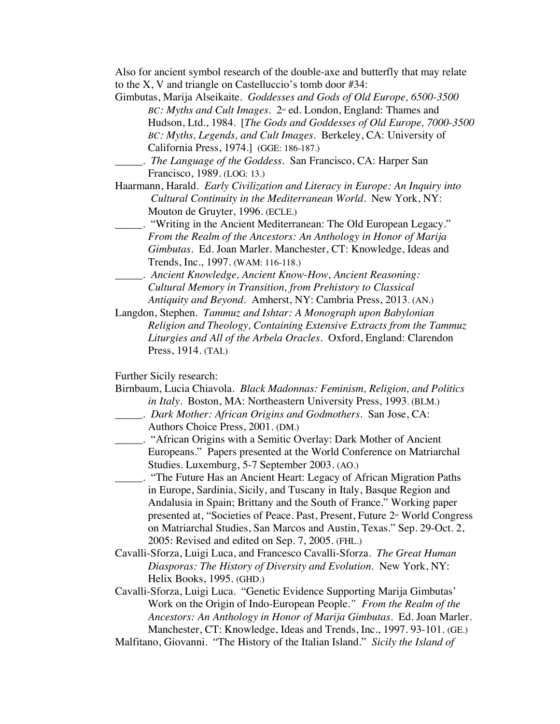Also for ancient symbol research of the double-axe and butterfly that may relate to the X, V and triangle on Castelluccio's tomb door #34:

- Gimbutas, Marija Alseikaite. *Goddesses and Gods of Old Europe, 6500-3500 BC: Myths and Cult Images.*  $2^{\omega}$  ed. London, England: Thames and Hudson, Ltd., 1984. [*The Gods and Goddesses of Old Europe, 7000-3500 BC: Myths, Legends, and Cult Images*. Berkeley, CA: University of California Press, 1974.] (GGE: 186-187.)
	- \_\_\_\_\_. *The Language of the Goddess*. San Francisco, CA: Harper San Francisco, 1989. (LOG: 13.)
- Haarmann, Harald. *Early Civilization and Literacy in Europe: An Inquiry into Cultural Continuity in the Mediterranean World*. New York, NY: Mouton de Gruyter, 1996. (ECLE.)
- \_\_\_\_\_. "Writing in the Ancient Mediterranean: The Old European Legacy." *From the Realm of the Ancestors: An Anthology in Honor of Marija Gimbutas*. Ed. Joan Marler. Manchester, CT: Knowledge, Ideas and Trends, Inc., 1997. (WAM: 116-118.)
- \_\_\_\_\_. *Ancient Knowledge, Ancient Know-How, Ancient Reasoning: Cultural Memory in Transition, from Prehistory to Classical Antiquity and Beyond*. Amherst, NY: Cambria Press, 2013. (AN.)
- Langdon, Stephen. *Tammuz and Ishtar: A Monograph upon Babylonian Religion and Theology, Containing Extensive Extracts from the Tammuz Liturgies and All of the Arbela Oracles.* Oxford, England: Clarendon Press, 1914. (TAI.)

Further Sicily research:

| Birnbaum, Lucia Chiavola. Black Madonnas: Feminism, Religion, and Politics |
|----------------------------------------------------------------------------|
| <i>in Italy.</i> Boston, MA: Northeastern University Press, 1993. (BLM.)   |
| . Dark Mother: African Origins and Godmothers. San Jose, CA:               |

- Authors Choice Press, 2001. (DM.)
- \_\_\_\_\_. "African Origins with a Semitic Overlay: Dark Mother of Ancient Europeans." Papers presented at the World Conference on Matriarchal Studies. Luxemburg, 5-7 September 2003. (AO.)
- \_\_\_\_\_. "The Future Has an Ancient Heart: Legacy of African Migration Paths in Europe, Sardinia, Sicily, and Tuscany in Italy, Basque Region and Andalusia in Spain; Brittany and the South of France." Working paper presented at, "Societies of Peace. Past, Present, Future  $2<sup>nd</sup>$  World Congress on Matriarchal Studies, San Marcos and Austin, Texas." Sep. 29-Oct. 2, 2005: Revised and edited on Sep. 7, 2005. (FHL.)
- Cavalli-Sforza, Luigi Luca, and Francesco Cavalli-Sforza. *The Great Human Diasporas: The History of Diversity and Evolution*. New York, NY: Helix Books, 1995. (GHD.)
- Cavalli-Sforza, Luigi Luca. "Genetic Evidence Supporting Marija Gimbutas' Work on the Origin of Indo-European People*." From the Realm of the Ancestors: An Anthology in Honor of Marija Gimbutas*. Ed. Joan Marler. Manchester, CT: Knowledge, Ideas and Trends, Inc., 1997. 93-101. (GE.)
- Malfitano, Giovanni. "The History of the Italian Island." *Sicily the Island of*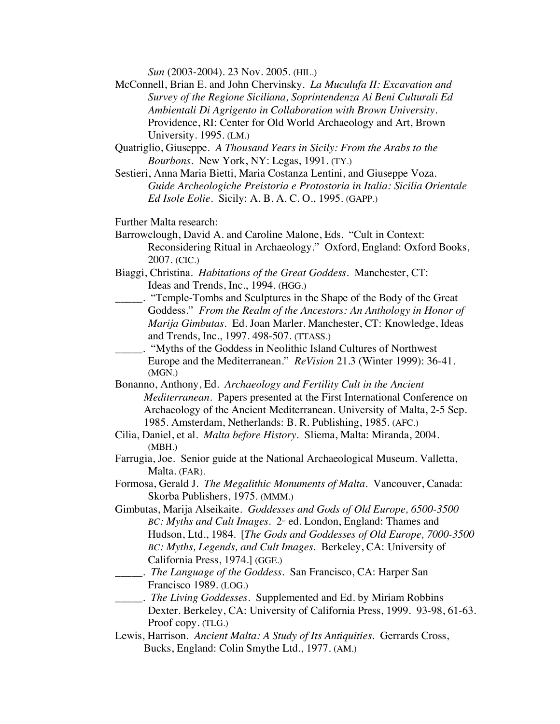*Sun* (2003-2004). 23 Nov. 2005. (HIL.)

- McConnell, Brian E. and John Chervinsky. *La Muculufa II: Excavation and Survey of the Regione Siciliana, Soprintendenza Ai Beni Culturali Ed Ambientali Di Agrigento in Collaboration with Brown University*. Providence, RI: Center for Old World Archaeology and Art, Brown University. 1995. (LM.)
- Quatriglio, Giuseppe. *A Thousand Years in Sicily: From the Arabs to the Bourbons*. New York, NY: Legas, 1991. (TY.)
- Sestieri, Anna Maria Bietti, Maria Costanza Lentini, and Giuseppe Voza. *Guide Archeologiche Preistoria e Protostoria in Italia: Sicilia Orientale Ed Isole Eolie.* Sicily: A. B. A. C. O., 1995. (GAPP.)
- Further Malta research:
- Barrowclough, David A. and Caroline Malone, Eds. "Cult in Context: Reconsidering Ritual in Archaeology." Oxford, England: Oxford Books, 2007. (CIC.)
- Biaggi, Christina. *Habitations of the Great Goddess*. Manchester, CT: Ideas and Trends, Inc., 1994. (HGG.)
- \_\_\_\_\_. "Temple-Tombs and Sculptures in the Shape of the Body of the Great Goddess." *From the Realm of the Ancestors: An Anthology in Honor of Marija Gimbutas*. Ed. Joan Marler. Manchester, CT: Knowledge, Ideas and Trends, Inc., 1997. 498-507. (TTASS.)
- \_\_\_\_\_. "Myths of the Goddess in Neolithic Island Cultures of Northwest Europe and the Mediterranean." *ReVision* 21.3 (Winter 1999): 36-41. (MGN.)
- Bonanno, Anthony, Ed. *Archaeology and Fertility Cult in the Ancient Mediterranean.* Papers presented at the First International Conference on Archaeology of the Ancient Mediterranean. University of Malta, 2-5 Sep. 1985. Amsterdam, Netherlands: B. R. Publishing, 1985. (AFC.)
- Cilia, Daniel, et al. *Malta before History.* Sliema, Malta: Miranda, 2004. (MBH.)
- Farrugia, Joe. Senior guide at the National Archaeological Museum. Valletta, Malta. (FAR).
- Formosa, Gerald J. *The Megalithic Monuments of Malta.* Vancouver, Canada: Skorba Publishers, 1975. (MMM.)
- Gimbutas, Marija Alseikaite. *Goddesses and Gods of Old Europe, 6500-3500 BC: Myths and Cult Images.* 2<sup>nd</sup> ed. London, England: Thames and Hudson, Ltd., 1984. [*The Gods and Goddesses of Old Europe, 7000-3500 BC: Myths, Legends, and Cult Images*. Berkeley, CA: University of California Press, 1974.] (GGE.)
- \_\_\_\_\_. *The Language of the Goddess*. San Francisco, CA: Harper San Francisco 1989. (LOG.)
- \_\_\_\_\_. *The Living Goddesses*. Supplemented and Ed. by Miriam Robbins Dexter. Berkeley, CA: University of California Press, 1999. 93-98, 61-63. Proof copy. (TLG.)
- Lewis, Harrison. *Ancient Malta: A Study of Its Antiquities*. Gerrards Cross, Bucks, England: Colin Smythe Ltd., 1977. (AM.)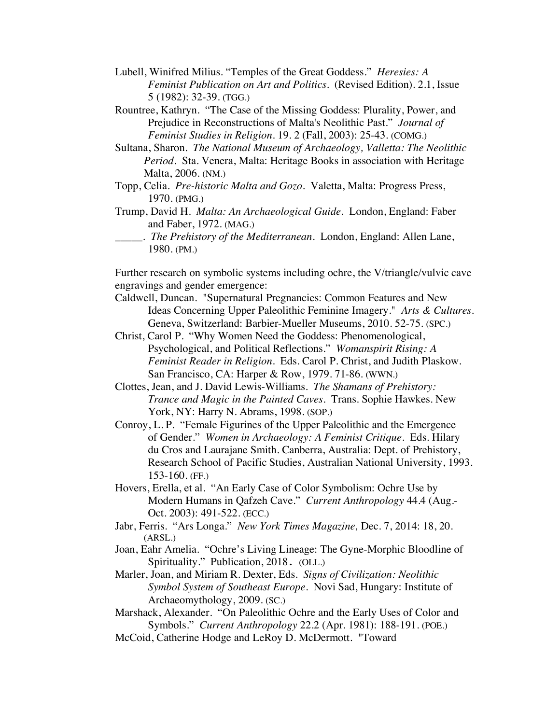- Lubell, Winifred Milius. "Temples of the Great Goddess." *Heresies: A Feminist Publication on Art and Politics.* (Revised Edition). 2.1, Issue 5 (1982): 32-39. (TGG.)
- Rountree, Kathryn."The Case of the Missing Goddess: Plurality, Power, and Prejudice in Reconstructions of Malta's Neolithic Past." *Journal of Feminist Studies in Religion.* 19. 2 (Fall, 2003): 25-43. (COMG.)
- Sultana, Sharon. *The National Museum of Archaeology, Valletta: The Neolithic Period*. Sta. Venera, Malta: Heritage Books in association with Heritage Malta, 2006. (NM.)
- Topp, Celia. *Pre-historic Malta and Gozo*. Valetta, Malta: Progress Press, 1970. (PMG.)
- Trump, David H. *Malta: An Archaeological Guide*. London, England: Faber and Faber, 1972. (MAG.)
	- \_\_\_\_\_. *The Prehistory of the Mediterranean*. London, England: Allen Lane, 1980. (PM.)

Further research on symbolic systems including ochre, the V/triangle/vulvic cave engravings and gender emergence:

- Caldwell, Duncan. "Supernatural Pregnancies: Common Features and New Ideas Concerning Upper Paleolithic Feminine Imagery." *Arts & Cultures.*  Geneva, Switzerland: Barbier-Mueller Museums, 2010. 52-75. (SPC.)
- Christ, Carol P. "Why Women Need the Goddess: Phenomenological, Psychological, and Political Reflections." *Womanspirit Rising: A Feminist Reader in Religion*. Eds. Carol P. Christ, and Judith Plaskow. San Francisco, CA: Harper & Row, 1979. 71-86. (WWN.)
- Clottes, Jean, and J. David Lewis-Williams. *The Shamans of Prehistory: Trance and Magic in the Painted Caves.* Trans. Sophie Hawkes. New York, NY: Harry N. Abrams, 1998. (SOP.)
- Conroy, L. P. "Female Figurines of the Upper Paleolithic and the Emergence of Gender." *Women in Archaeology: A Feminist Critique*. Eds. Hilary du Cros and Laurajane Smith. Canberra, Australia: Dept. of Prehistory, Research School of Pacific Studies, Australian National University, 1993. 153-160. (FF.)
- Hovers, Erella, et al. "An Early Case of Color Symbolism: Ochre Use by Modern Humans in Qafzeh Cave." *Current Anthropology* 44.4 (Aug.- Oct. 2003): 491-522. (ECC.)
- Jabr, Ferris. "Ars Longa." *New York Times Magazine,* Dec. 7, 2014: 18, 20. (ARSL.)
- Joan, Eahr Amelia. "Ochre's Living Lineage: The Gyne-Morphic Bloodline of Spirituality." Publication, 2018. (OLL.)
- Marler, Joan, and Miriam R. Dexter, Eds. *Signs of Civilization: Neolithic Symbol System of Southeast Europe*. Novi Sad, Hungary: Institute of Archaeomythology, 2009. (SC.)
- Marshack, Alexander. "On Paleolithic Ochre and the Early Uses of Color and Symbols." *Current Anthropology* 22.2 (Apr. 1981): 188-191. (POE.)
- McCoid, Catherine Hodge and LeRoy D. McDermott. "Toward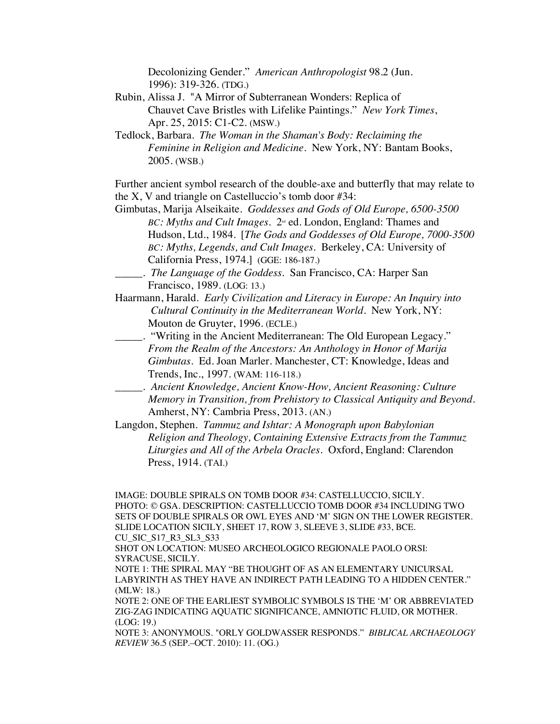Decolonizing Gender." *American Anthropologist* 98.2 (Jun. 1996): 319-326. (TDG.)

Rubin, Alissa J. "A Mirror of Subterranean Wonders: Replica of Chauvet Cave Bristles with Lifelike Paintings." *New York Times*, Apr. 25, 2015: C1-C2. (MSW.)

Tedlock, Barbara. *The Woman in the Shaman's Body: Reclaiming the Feminine in Religion and Medicine*. New York, NY: Bantam Books, 2005. (WSB.)

Further ancient symbol research of the double-axe and butterfly that may relate to the X, V and triangle on Castelluccio's tomb door #34:

- Gimbutas, Marija Alseikaite. *Goddesses and Gods of Old Europe, 6500-3500 BC: Myths and Cult Images.*  $2^{nd}$  ed. London, England: Thames and Hudson, Ltd., 1984. [*The Gods and Goddesses of Old Europe, 7000-3500 BC: Myths, Legends, and Cult Images*. Berkeley, CA: University of California Press, 1974.] (GGE: 186-187.)
- \_\_\_\_\_. *The Language of the Goddess*. San Francisco, CA: Harper San Francisco, 1989. (LOG: 13.)
- Haarmann, Harald. *Early Civilization and Literacy in Europe: An Inquiry into Cultural Continuity in the Mediterranean World*. New York, NY: Mouton de Gruyter, 1996. (ECLE.)
- \_\_\_\_\_. "Writing in the Ancient Mediterranean: The Old European Legacy." *From the Realm of the Ancestors: An Anthology in Honor of Marija Gimbutas*. Ed. Joan Marler. Manchester, CT: Knowledge, Ideas and Trends, Inc., 1997. (WAM: 116-118.)
- \_\_\_\_\_. *Ancient Knowledge, Ancient Know-How, Ancient Reasoning: Culture Memory in Transition, from Prehistory to Classical Antiquity and Beyond.* Amherst, NY: Cambria Press, 2013. (AN.)

Langdon, Stephen. *Tammuz and Ishtar: A Monograph upon Babylonian Religion and Theology, Containing Extensive Extracts from the Tammuz Liturgies and All of the Arbela Oracles.* Oxford, England: Clarendon Press, 1914. (TAI.)

IMAGE: DOUBLE SPIRALS ON TOMB DOOR #34: CASTELLUCCIO, SICILY. PHOTO: © GSA. DESCRIPTION: CASTELLUCCIO TOMB DOOR #34 INCLUDING TWO SETS OF DOUBLE SPIRALS OR OWL EYES AND 'M' SIGN ON THE LOWER REGISTER. SLIDE LOCATION SICILY, SHEET 17, ROW 3, SLEEVE 3, SLIDE #33, BCE. CU\_SIC\_S17\_R3\_SL3\_S33

SHOT ON LOCATION: MUSEO ARCHEOLOGICO REGIONALE PAOLO ORSI: SYRACUSE, SICILY.

NOTE 1: THE SPIRAL MAY "BE THOUGHT OF AS AN ELEMENTARY UNICURSAL LABYRINTH AS THEY HAVE AN INDIRECT PATH LEADING TO A HIDDEN CENTER." (MLW: 18.)

NOTE 2: ONE OF THE EARLIEST SYMBOLIC SYMBOLS IS THE 'M' OR ABBREVIATED ZIG-ZAG INDICATING AQUATIC SIGNIFICANCE, AMNIOTIC FLUID, OR MOTHER. (LOG: 19.)

NOTE 3: ANONYMOUS. "ORLY GOLDWASSER RESPONDS." *BIBLICAL ARCHAEOLOGY REVIEW* 36.5 (SEP.–OCT. 2010): 11. (OG.)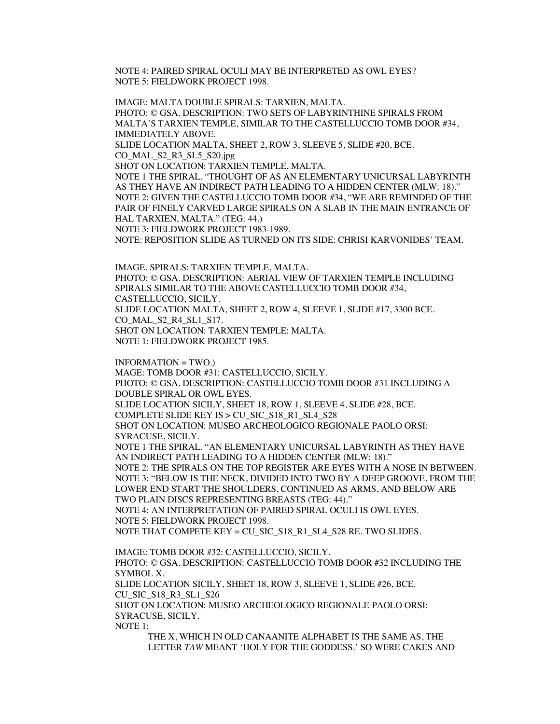NOTE 4: PAIRED SPIRAL OCULI MAY BE INTERPRETED AS OWL EYES? NOTE 5: FIELDWORK PROJECT 1998.

IMAGE: MALTA DOUBLE SPIRALS: TARXIEN, MALTA. PHOTO: © GSA. DESCRIPTION: TWO SETS OF LABYRINTHINE SPIRALS FROM MALTA'S TARXIEN TEMPLE, SIMILAR TO THE CASTELLUCCIO TOMB DOOR #34, IMMEDIATELY ABOVE. SLIDE LOCATION MALTA, SHEET 2, ROW 3, SLEEVE 5, SLIDE #20, BCE. CO\_MAL\_S2\_R3\_SL5\_S20.jpg SHOT ON LOCATION: TARXIEN TEMPLE, MALTA. NOTE 1 THE SPIRAL. "THOUGHT OF AS AN ELEMENTARY UNICURSAL LABYRINTH AS THEY HAVE AN INDIRECT PATH LEADING TO A HIDDEN CENTER (MLW: 18)." NOTE 2: GIVEN THE CASTELLUCCIO TOMB DOOR #34, "WE ARE REMINDED OF THE PAIR OF FINELY CARVED LARGE SPIRALS ON A SLAB IN THE MAIN ENTRANCE OF HAL TARXIEN, MALTA." (TEG: 44.) NOTE 3: FIELDWORK PROJECT 1983-1989.

NOTE: REPOSITION SLIDE AS TURNED ON ITS SIDE: CHRISI KARVONIDES' TEAM.

IMAGE. SPIRALS: TARXIEN TEMPLE, MALTA. PHOTO: © GSA. DESCRIPTION: AERIAL VIEW OF TARXIEN TEMPLE INCLUDING SPIRALS SIMILAR TO THE ABOVE CASTELLUCCIO TOMB DOOR #34, CASTELLUCCIO, SICILY. SLIDE LOCATION MALTA, SHEET 2, ROW 4, SLEEVE 1, SLIDE #17, 3300 BCE. CO\_MAL\_S2\_R4\_SL1\_S17. SHOT ON LOCATION: TARXIEN TEMPLE: MALTA. NOTE 1: FIELDWORK PROJECT 1985.

 $INFORMATION = TWO.$ MAGE: TOMB DOOR #31: CASTELLUCCIO, SICILY. PHOTO: © GSA. DESCRIPTION: CASTELLUCCIO TOMB DOOR #31 INCLUDING A DOUBLE SPIRAL OR OWL EYES. SLIDE LOCATION SICILY, SHEET 18, ROW 1, SLEEVE 4, SLIDE #28, BCE. COMPLETE SLIDE KEY IS > CU\_SIC\_S18\_R1\_SL4\_S28 SHOT ON LOCATION: MUSEO ARCHEOLOGICO REGIONALE PAOLO ORSI: SYRACUSE, SICILY. NOTE 1 THE SPIRAL. "AN ELEMENTARY UNICURSAL LABYRINTH AS THEY HAVE AN INDIRECT PATH LEADING TO A HIDDEN CENTER (MLW: 18)." NOTE 2: THE SPIRALS ON THE TOP REGISTER ARE EYES WITH A NOSE IN BETWEEN. NOTE 3: "BELOW IS THE NECK, DIVIDED INTO TWO BY A DEEP GROOVE, FROM THE LOWER END START THE SHOULDERS, CONTINUED AS ARMS, AND BELOW ARE TWO PLAIN DISCS REPRESENTING BREASTS (TEG: 44)." NOTE 4: AN INTERPRETATION OF PAIRED SPIRAL OCULI IS OWL EYES. NOTE 5: FIELDWORK PROJECT 1998. NOTE THAT COMPETE KEY = CU\_SIC\_S18\_R1\_SL4\_S28 RE. TWO SLIDES. IMAGE: TOMB DOOR #32: CASTELLUCCIO, SICILY. PHOTO: © GSA. DESCRIPTION: CASTELLUCCIO TOMB DOOR #32 INCLUDING THE SYMBOL X. SLIDE LOCATION SICILY, SHEET 18, ROW 3, SLEEVE 1, SLIDE #26, BCE.

CU\_SIC\_S18\_R3\_SL1\_S26 SHOT ON LOCATION: MUSEO ARCHEOLOGICO REGIONALE PAOLO ORSI: SYRACUSE, SICILY.

NOTE 1:

THE X, WHICH IN OLD CANAANITE ALPHABET IS THE SAME AS, THE LETTER *TAW* MEANT 'HOLY FOR THE GODDESS.' SO WERE CAKES AND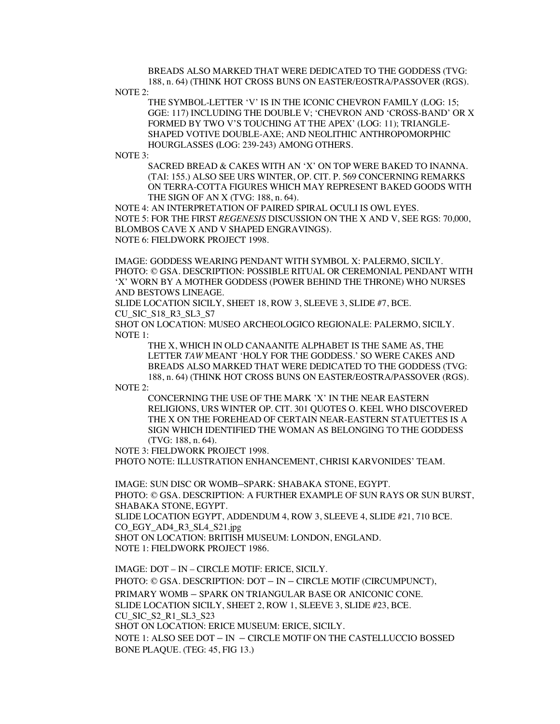BREADS ALSO MARKED THAT WERE DEDICATED TO THE GODDESS (TVG: 188, n. 64) (THINK HOT CROSS BUNS ON EASTER/EOSTRA/PASSOVER (RGS).

NOTE 2:

THE SYMBOL-LETTER 'V' IS IN THE ICONIC CHEVRON FAMILY (LOG: 15; GGE: 117) INCLUDING THE DOUBLE V; 'CHEVRON AND 'CROSS-BAND' OR X FORMED BY TWO V'S TOUCHING AT THE APEX' (LOG: 11); TRIANGLE-SHAPED VOTIVE DOUBLE-AXE; AND NEOLITHIC ANTHROPOMORPHIC HOURGLASSES **(**LOG: 239-243) AMONG OTHERS.

NOTE 3:

SACRED BREAD & CAKES WITH AN 'X' ON TOP WERE BAKED TO INANNA. (TAI: 155.) ALSO SEE URS WINTER, OP. CIT. P. 569 CONCERNING REMARKS ON TERRA-COTTA FIGURES WHICH MAY REPRESENT BAKED GOODS WITH THE SIGN OF AN X (TVG: 188, n. 64).

NOTE 4: AN INTERPRETATION OF PAIRED SPIRAL OCULI IS OWL EYES. NOTE 5: FOR THE FIRST *REGENESIS* DISCUSSION ON THE X AND V, SEE RGS: 70,000, BLOMBOS CAVE X AND V SHAPED ENGRAVINGS). NOTE 6: FIELDWORK PROJECT 1998.

IMAGE: GODDESS WEARING PENDANT WITH SYMBOL X: PALERMO, SICILY. PHOTO: © GSA. DESCRIPTION: POSSIBLE RITUAL OR CEREMONIAL PENDANT WITH 'X' WORN BY A MOTHER GODDESS (POWER BEHIND THE THRONE) WHO NURSES AND BESTOWS LINEAGE.

SLIDE LOCATION SICILY, SHEET 18, ROW 3, SLEEVE 3, SLIDE #7, BCE. CU\_SIC\_S18\_R3\_SL3\_S7

SHOT ON LOCATION: MUSEO ARCHEOLOGICO REGIONALE: PALERMO, SICILY. NOTE 1:

THE X, WHICH IN OLD CANAANITE ALPHABET IS THE SAME AS, THE LETTER *TAW* MEANT 'HOLY FOR THE GODDESS.' SO WERE CAKES AND BREADS ALSO MARKED THAT WERE DEDICATED TO THE GODDESS (TVG: 188, n. 64) (THINK HOT CROSS BUNS ON EASTER/EOSTRA/PASSOVER (RGS).

NOTE 2:

CONCERNING THE USE OF THE MARK 'X' IN THE NEAR EASTERN RELIGIONS, URS WINTER OP. CIT. 301 QUOTES O. KEEL WHO DISCOVERED THE X ON THE FOREHEAD OF CERTAIN NEAR-EASTERN STATUETTES IS A SIGN WHICH IDENTIFIED THE WOMAN AS BELONGING TO THE GODDESS (TVG: 188, n. 64).

NOTE 3: FIELDWORK PROJECT 1998.

PHOTO NOTE: ILLUSTRATION ENHANCEMENT, CHRISI KARVONIDES' TEAM.

IMAGE: SUN DISC OR WOMB–SPARK: SHABAKA STONE, EGYPT. PHOTO: © GSA. DESCRIPTION: A FURTHER EXAMPLE OF SUN RAYS OR SUN BURST, SHABAKA STONE, EGYPT.

SLIDE LOCATION EGYPT, ADDENDUM 4, ROW 3, SLEEVE 4, SLIDE #21, 710 BCE. CO\_EGY\_AD4\_R3\_SL4\_S21.jpg

SHOT ON LOCATION: BRITISH MUSEUM: LONDON, ENGLAND. NOTE 1: FIELDWORK PROJECT 1986.

IMAGE: DOT – IN – CIRCLE MOTIF: ERICE, SICILY. PHOTO: © GSA. DESCRIPTION: DOT – IN – CIRCLE MOTIF (CIRCUMPUNCT), PRIMARY WOMB – SPARK ON TRIANGULAR BASE OR ANICONIC CONE. SLIDE LOCATION SICILY, SHEET 2, ROW 1, SLEEVE 3, SLIDE #23, BCE. CU\_SIC\_S2\_R1\_SL3\_S23 SHOT ON LOCATION: ERICE MUSEUM: ERICE, SICILY. NOTE 1: ALSO SEE DOT – IN – CIRCLE MOTIF ON THE CASTELLUCCIO BOSSED BONE PLAQUE. (TEG: 45, FIG 13.)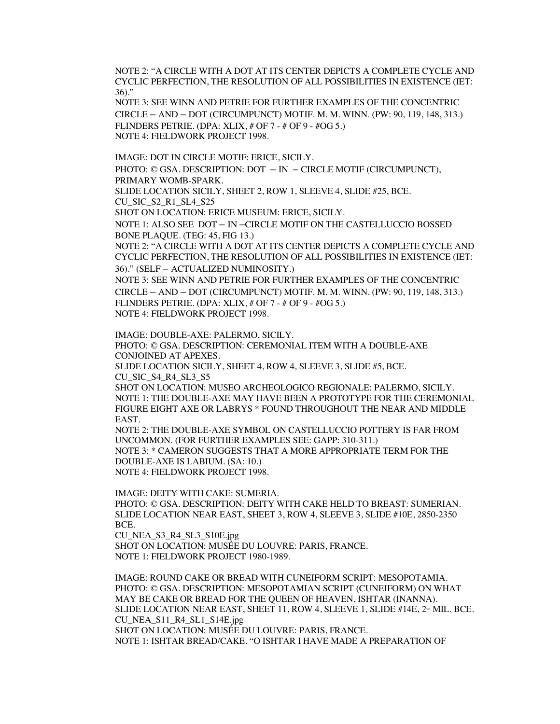NOTE 2: "A CIRCLE WITH A DOT AT ITS CENTER DEPICTS A COMPLETE CYCLE AND CYCLIC PERFECTION, THE RESOLUTION OF ALL POSSIBILITIES IN EXISTENCE (IET: 36)."

NOTE 3: SEE WINN AND PETRIE FOR FURTHER EXAMPLES OF THE CONCENTRIC CIRCLE – AND – DOT (CIRCUMPUNCT) MOTIF. M. M. WINN. (PW: 90, 119, 148, 313.) FLINDERS PETRIE. (DPA: XLIX, # OF 7 - # OF 9 - #OG 5.) NOTE 4: FIELDWORK PROJECT 1998.

IMAGE: DOT IN CIRCLE MOTIF: ERICE, SICILY.

PHOTO: © GSA. DESCRIPTION: DOT – IN – CIRCLE MOTIF (CIRCUMPUNCT), PRIMARY WOMB-SPARK.

SLIDE LOCATION SICILY, SHEET 2, ROW 1, SLEEVE 4, SLIDE #25, BCE. CU\_SIC\_S2\_R1\_SL4\_S25

SHOT ON LOCATION: ERICE MUSEUM: ERICE, SICILY.

NOTE 1: ALSO SEE DOT – IN –CIRCLE MOTIF ON THE CASTELLUCCIO BOSSED BONE PLAQUE. (TEG: 45, FIG 13.)

NOTE 2: "A CIRCLE WITH A DOT AT ITS CENTER DEPICTS A COMPLETE CYCLE AND CYCLIC PERFECTION, THE RESOLUTION OF ALL POSSIBILITIES IN EXISTENCE (IET: 36)." (SELF – ACTUALIZED NUMINOSITY.)

NOTE 3: SEE WINN AND PETRIE FOR FURTHER EXAMPLES OF THE CONCENTRIC CIRCLE – AND – DOT (CIRCUMPUNCT) MOTIF. M. M. WINN. (PW: 90, 119, 148, 313.) FLINDERS PETRIE. (DPA: XLIX, # OF 7 - # OF 9 - #OG 5.) NOTE 4: FIELDWORK PROJECT 1998.

IMAGE: DOUBLE-AXE: PALERMO, SICILY. PHOTO: © GSA. DESCRIPTION: CEREMONIAL ITEM WITH A DOUBLE-AXE CONJOINED AT APEXES. SLIDE LOCATION SICILY, SHEET 4, ROW 4, SLEEVE 3, SLIDE #5, BCE. CU\_SIC\_S4\_R4\_SL3\_S5 SHOT ON LOCATION: MUSEO ARCHEOLOGICO REGIONALE: PALERMO, SICILY. NOTE 1: THE DOUBLE-AXE MAY HAVE BEEN A PROTOTYPE FOR THE CEREMONIAL FIGURE EIGHT AXE OR LABRYS \* FOUND THROUGHOUT THE NEAR AND MIDDLE EAST.

NOTE 2: THE DOUBLE-AXE SYMBOL ON CASTELLUCCIO POTTERY IS FAR FROM UNCOMMON. (FOR FURTHER EXAMPLES SEE: GAPP: 310-311.) NOTE 3: \* CAMERON SUGGESTS THAT A MORE APPROPRIATE TERM FOR THE DOUBLE-AXE IS LABIUM. (SA: 10.) NOTE 4: FIELDWORK PROJECT 1998.

IMAGE: DEITY WITH CAKE: SUMERIA. PHOTO: © GSA. DESCRIPTION: DEITY WITH CAKE HELD TO BREAST: SUMERIAN. SLIDE LOCATION NEAR EAST, SHEET 3, ROW 4, SLEEVE 3, SLIDE #10E, 2850-2350 BCE.

CU\_NEA\_S3\_R4\_SL3\_S10E.jpg SHOT ON LOCATION: MUSÉE DU LOUVRE: PARIS, FRANCE. NOTE 1: FIELDWORK PROJECT 1980-1989.

IMAGE: ROUND CAKE OR BREAD WITH CUNEIFORM SCRIPT: MESOPOTAMIA. PHOTO: © GSA. DESCRIPTION: MESOPOTAMIAN SCRIPT (CUNEIFORM) ON WHAT MAY BE CAKE OR BREAD FOR THE QUEEN OF HEAVEN, ISHTAR (INANNA). SLIDE LOCATION NEAR EAST, SHEET 11, ROW 4, SLEEVE 1, SLIDE #14E,  $2^{\infty}$  MIL. BCE. CU\_NEA\_S11\_R4\_SL1\_S14E.jpg SHOT ON LOCATION: MUSÉE DU LOUVRE: PARIS, FRANCE. NOTE 1: ISHTAR BREAD/CAKE. "O ISHTAR I HAVE MADE A PREPARATION OF